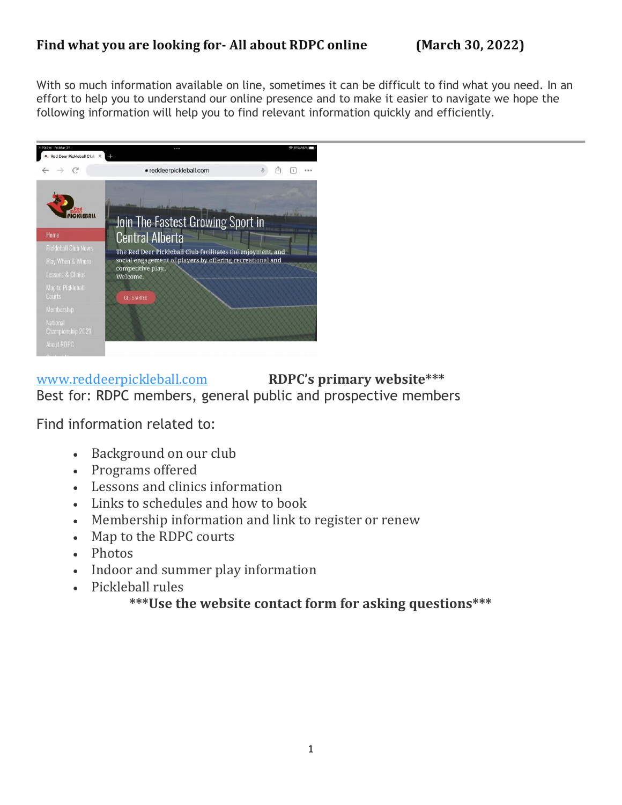## **Find what you are looking for- All about RDPC online (March 30, 2022)**

With so much information available on line, sometimes it can be difficult to find what you need. In an effort to help you to understand our online presence and to make it easier to navigate we hope the following information will help you to find relevant information quickly and efficiently.



## [www.reddeerpickleball.com](http://www.reddeerpickleball.com/) **RDPC's primary website\*\*\*** Best for: RDPC members, general public and prospective members

Find information related to:

- Background on our club
- Programs offered
- Lessons and clinics information
- Links to schedules and how to book
- Membership information and link to register or renew
- Map to the RDPC courts
- Photos
- Indoor and summer play information
- Pickleball rules

**\*\*\*Use the website contact form for asking questions\*\*\***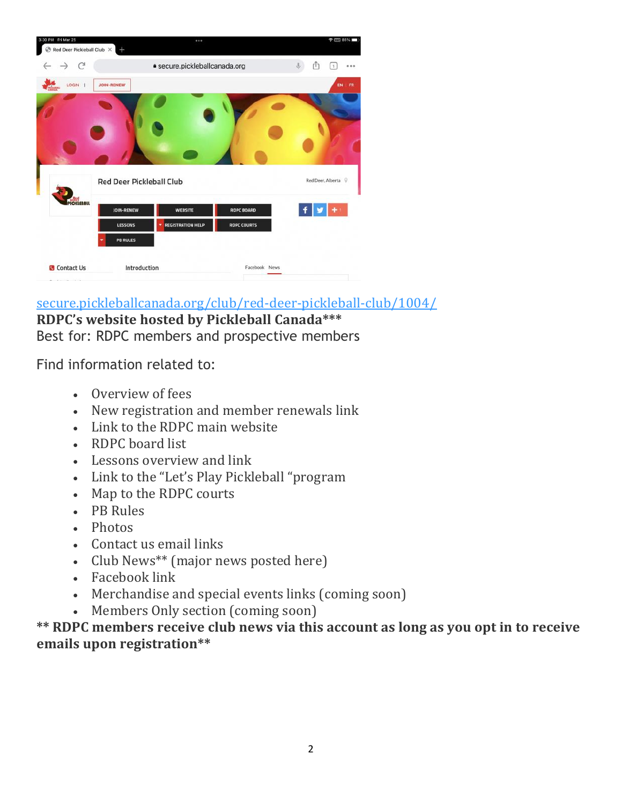| 3:30 PM Fri Mar 25<br>Red Deer Pickleball Club X |                                 |                          |                               | <b>李丽略</b>          |
|--------------------------------------------------|---------------------------------|--------------------------|-------------------------------|---------------------|
| $\rightarrow$ C                                  |                                 |                          | · secure.pickleballcanada.org |                     |
| LOGIN  <br><b>Column</b>                         | <b>JOIN-RENEW</b>               |                          |                               | EN FR               |
|                                                  |                                 |                          |                               |                     |
|                                                  |                                 |                          |                               |                     |
|                                                  |                                 |                          |                               |                     |
|                                                  |                                 |                          |                               |                     |
|                                                  | <b>Red Deer Pickleball Club</b> |                          |                               | Red Deer, Alberta Q |
| <b>CKLEBALL</b>                                  | JOIN-RENEW                      | <b>WEBSITE</b>           | <b>RDPC BOARD</b>             |                     |
|                                                  | LESSONS                         | <b>REGISTRATION HELP</b> | <b>RDPC COURTS</b>            |                     |
|                                                  | <b>PB RULES</b>                 |                          |                               |                     |
| <b>Contact Us</b>                                | Introduction                    |                          | Facebook News                 |                     |
| and the company of the company                   |                                 |                          |                               |                     |

[secure.pickleballcanada.org/club/red-deer-pickleball-club/1004/](https://secure.pickleballcanada.org/club/red-deer-pickleball-club/1004/) **RDPC's website hosted by Pickleball Canada\*\*\***

Best for: RDPC members and prospective members

Find information related to:

- Overview of fees
- New registration and member renewals link
- Link to the RDPC main website
- RDPC board list
- Lessons overview and link
- Link to the "Let's Play Pickleball "program
- Map to the RDPC courts
- PB Rules
- Photos
- Contact us email links
- Club News\*\* (major news posted here)
- Facebook link
- Merchandise and special events links (coming soon)
- Members Only section (coming soon)

**\*\* RDPC members receive club news via this account as long as you opt in to receive emails upon registration\*\***